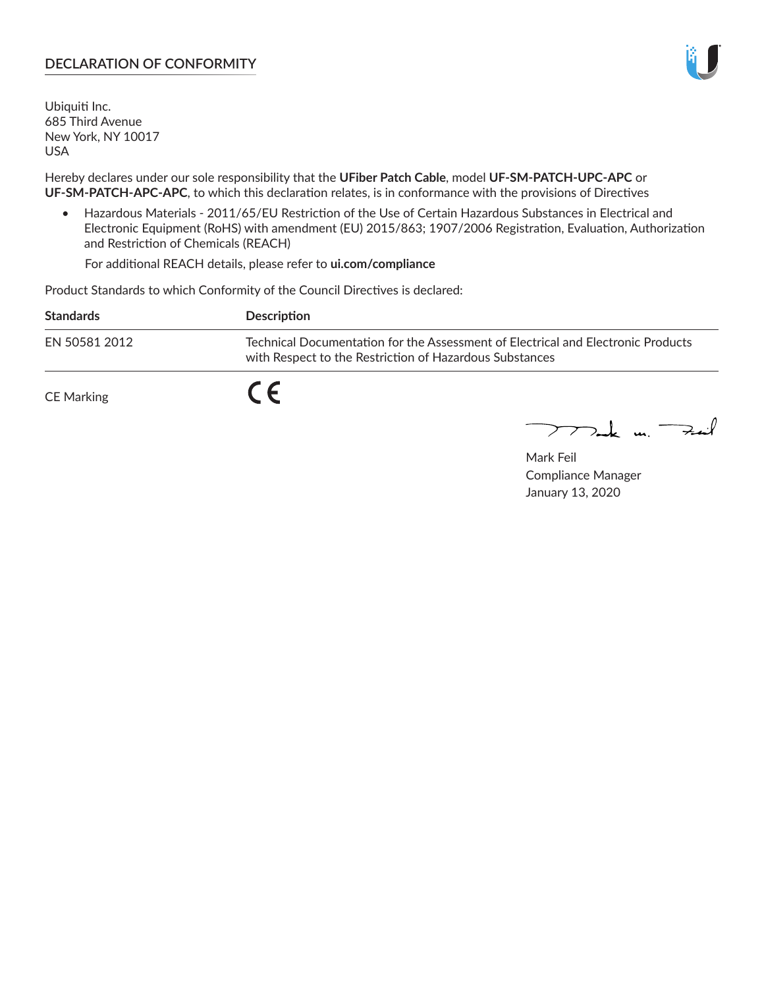# **DECLARATION OF CONFORMITY**

Ubiquiti Inc. 685 Third Avenue New York, NY 10017 USA

Hereby declares under our sole responsibility that the **UFiber Patch Cable**, model **UF‑SM‑PATCH‑UPC‑APC** or **UF‑SM‑PATCH‑APC‑APC**, to which this declaration relates, is in conformance with the provisions of Directives

• Hazardous Materials - 2011/65/EU Restriction of the Use of Certain Hazardous Substances in Electrical and Electronic Equipment (RoHS) with amendment (EU) 2015/863; 1907/2006 Registration, Evaluation, Authorization and Restriction of Chemicals (REACH)

For additional REACH details, please refer to **ui.com/compliance**

Product Standards to which Conformity of the Council Directives is declared:

| <b>Standards</b> | <b>Description</b>                                                                                                                          |
|------------------|---------------------------------------------------------------------------------------------------------------------------------------------|
| EN 50581 2012    | Technical Documentation for the Assessment of Electrical and Electronic Products<br>with Respect to the Restriction of Hazardous Substances |
| CE Marking       |                                                                                                                                             |

 $\sum_{n=1}^{\infty}$  un  $\sum_{n=1}^{\infty}$ 

Mark Feil Compliance Manager January 13, 2020

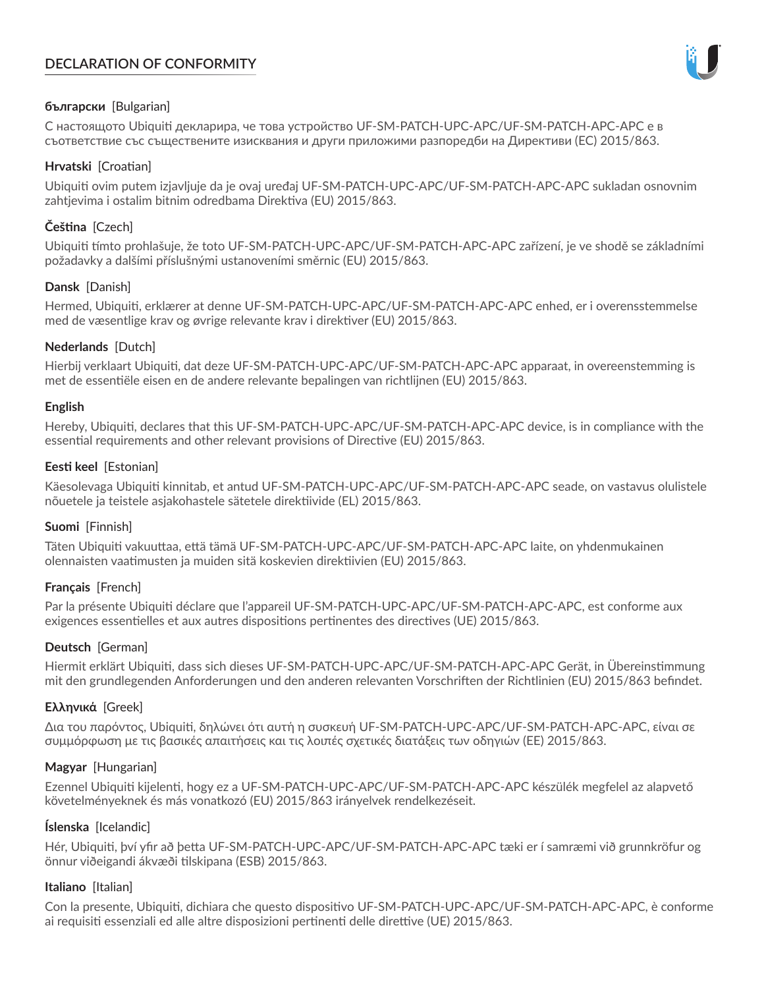# **DECLARATION OF CONFORMITY**



## **български** [Bulgarian]

С настоящото Ubiquiti декларира, че това устройство UF-SM-PATCH-UPC-APC/UF-SM-PATCH-APC-APC е в съответствие със съществените изисквания и други приложими разпоредби на Директиви (ЕС) 2015/863.

### **Hrvatski** [Croatian]

Ubiquiti ovim putem izjavljuje da je ovaj uređaj UF-SM-PATCH-UPC-APC/UF-SM-PATCH-APC-APC sukladan osnovnim zahtjevima i ostalim bitnim odredbama Direktiva (EU) 2015/863.

# **Čeština** [Czech]

Ubiquiti tímto prohlašuje, že toto UF-SM-PATCH-UPC-APC/UF-SM-PATCH-APC-APC zařízení, je ve shodě se základními požadavky a dalšími příslušnými ustanoveními směrnic (EU) 2015/863.

## **Dansk** [Danish]

Hermed, Ubiquiti, erklærer at denne UF-SM-PATCH-UPC-APC/UF-SM-PATCH-APC-APC enhed, er i overensstemmelse med de væsentlige krav og øvrige relevante krav i direktiver (EU) 2015/863.

## **Nederlands** [Dutch]

Hierbij verklaart Ubiquiti, dat deze UF-SM-PATCH-UPC-APC/UF-SM-PATCH-APC-APC apparaat, in overeenstemming is met de essentiële eisen en de andere relevante bepalingen van richtlijnen (EU) 2015/863.

### **English**

Hereby, Ubiquiti, declares that this UF-SM-PATCH-UPC-APC/UF-SM-PATCH-APC-APC device, is in compliance with the essential requirements and other relevant provisions of Directive (EU) 2015/863.

## **Eesti keel** [Estonian]

Käesolevaga Ubiquiti kinnitab, et antud UF-SM-PATCH-UPC-APC/UF-SM-PATCH-APC-APC seade, on vastavus olulistele nõuetele ja teistele asjakohastele sätetele direktiivide (EL) 2015/863.

# **Suomi** [Finnish]

Täten Ubiquiti vakuuttaa, että tämä UF-SM-PATCH-UPC-APC/UF-SM-PATCH-APC-APC laite, on yhdenmukainen olennaisten vaatimusten ja muiden sitä koskevien direktiivien (EU) 2015/863.

# **Français** [French]

Par la présente Ubiquiti déclare que l'appareil UF-SM-PATCH-UPC-APC/UF-SM-PATCH-APC-APC, est conforme aux exigences essentielles et aux autres dispositions pertinentes des directives (UE) 2015/863.

### **Deutsch** [German]

Hiermit erklärt Ubiquiti, dass sich dieses UF-SM-PATCH-UPC-APC/UF-SM-PATCH-APC-APC Gerät, in Übereinstimmung mit den grundlegenden Anforderungen und den anderen relevanten Vorschriften der Richtlinien (EU) 2015/863 befindet.

# **Ελληνικά** [Greek]

Δια του παρόντος, Ubiquiti, δηλώνει ότι αυτή η συσκευή UF-SM-PATCH-UPC-APC/UF-SM-PATCH-APC-APC, είναι σε συμμόρφωση με τις βασικές απαιτήσεις και τις λοιπές σχετικές διατάξεις των οδηγιών (ΕΕ) 2015/863.

### **Magyar** [Hungarian]

Ezennel Ubiquiti kijelenti, hogy ez a UF-SM-PATCH-UPC-APC/UF-SM-PATCH-APC-APC készülék megfelel az alapvető követelményeknek és más vonatkozó (EU) 2015/863 irányelvek rendelkezéseit.

### **Íslenska** [Icelandic]

Hér, Ubiquiti, því yfir að þetta UF-SM-PATCH-UPC-APC/UF-SM-PATCH-APC-APC tæki er í samræmi við grunnkröfur og önnur viðeigandi ákvæði tilskipana (ESB) 2015/863.

### **Italiano** [Italian]

Con la presente, Ubiquiti, dichiara che questo dispositivo UF-SM-PATCH-UPC-APC/UF-SM-PATCH-APC-APC, è conforme ai requisiti essenziali ed alle altre disposizioni pertinenti delle direttive (UE) 2015/863.